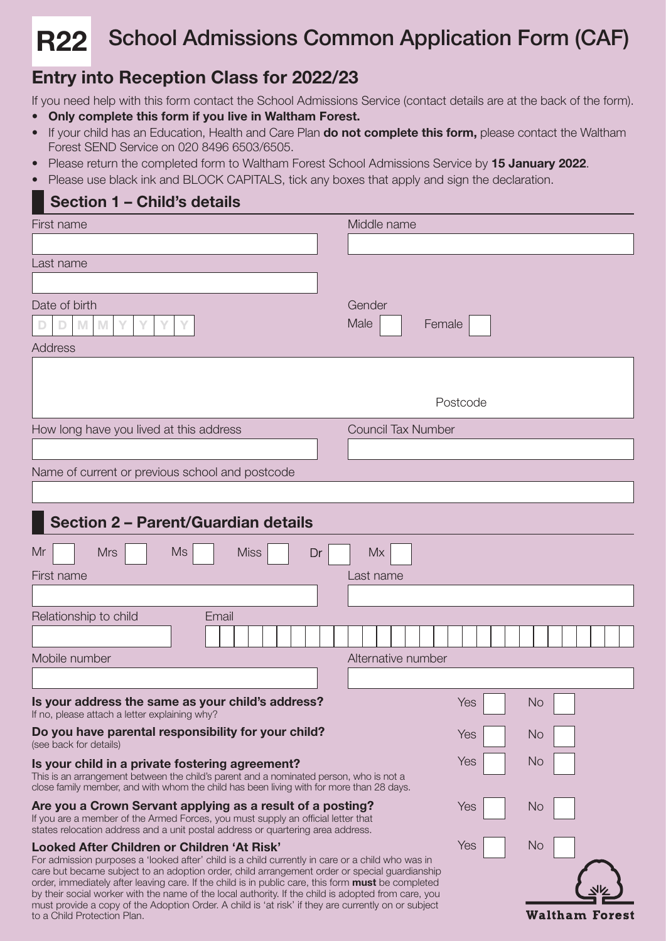#### School Admissions Common Application Form (CAF) R22

# Entry into Reception Class for 2022/23

If you need help with this form contact the School Admissions Service (contact details are at the back of the form).

- Only complete this form if you live in Waltham Forest.
- If your child has an Education, Health and Care Plan do not complete this form, please contact the Waltham Forest SEND Service on 020 8496 6503/6505.
- Please return the completed form to Waltham Forest School Admissions Service by 15 January 2022.
- Please use black ink and BLOCK CAPITALS, tick any boxes that apply and sign the declaration.

## Section 1 – Child's details

| First name                                                                                                                                                                                                                                                                                                                                                                                                                                                                                                                                                           | Middle name               |
|----------------------------------------------------------------------------------------------------------------------------------------------------------------------------------------------------------------------------------------------------------------------------------------------------------------------------------------------------------------------------------------------------------------------------------------------------------------------------------------------------------------------------------------------------------------------|---------------------------|
|                                                                                                                                                                                                                                                                                                                                                                                                                                                                                                                                                                      |                           |
| Last name                                                                                                                                                                                                                                                                                                                                                                                                                                                                                                                                                            |                           |
|                                                                                                                                                                                                                                                                                                                                                                                                                                                                                                                                                                      |                           |
| Date of birth                                                                                                                                                                                                                                                                                                                                                                                                                                                                                                                                                        | Gender                    |
| M<br>M<br>Y                                                                                                                                                                                                                                                                                                                                                                                                                                                                                                                                                          | Male<br>Female            |
| Address                                                                                                                                                                                                                                                                                                                                                                                                                                                                                                                                                              |                           |
|                                                                                                                                                                                                                                                                                                                                                                                                                                                                                                                                                                      |                           |
|                                                                                                                                                                                                                                                                                                                                                                                                                                                                                                                                                                      |                           |
|                                                                                                                                                                                                                                                                                                                                                                                                                                                                                                                                                                      | Postcode                  |
| How long have you lived at this address                                                                                                                                                                                                                                                                                                                                                                                                                                                                                                                              | <b>Council Tax Number</b> |
|                                                                                                                                                                                                                                                                                                                                                                                                                                                                                                                                                                      |                           |
| Name of current or previous school and postcode                                                                                                                                                                                                                                                                                                                                                                                                                                                                                                                      |                           |
|                                                                                                                                                                                                                                                                                                                                                                                                                                                                                                                                                                      |                           |
| Section 2 - Parent/Guardian details                                                                                                                                                                                                                                                                                                                                                                                                                                                                                                                                  |                           |
| <b>Miss</b><br><b>Ms</b><br>Mr<br><b>Mrs</b><br>Dr                                                                                                                                                                                                                                                                                                                                                                                                                                                                                                                   | <b>Mx</b>                 |
| First name                                                                                                                                                                                                                                                                                                                                                                                                                                                                                                                                                           | Last name                 |
|                                                                                                                                                                                                                                                                                                                                                                                                                                                                                                                                                                      |                           |
| Relationship to child<br>Email                                                                                                                                                                                                                                                                                                                                                                                                                                                                                                                                       |                           |
|                                                                                                                                                                                                                                                                                                                                                                                                                                                                                                                                                                      |                           |
| Mobile number                                                                                                                                                                                                                                                                                                                                                                                                                                                                                                                                                        | Alternative number        |
|                                                                                                                                                                                                                                                                                                                                                                                                                                                                                                                                                                      |                           |
| Is your address the same as your child's address?<br>If no, please attach a letter explaining why?                                                                                                                                                                                                                                                                                                                                                                                                                                                                   | Yes<br><b>No</b>          |
| Do you have parental responsibility for your child?<br>(see back for details)                                                                                                                                                                                                                                                                                                                                                                                                                                                                                        | <b>No</b><br>Yes          |
| Is your child in a private fostering agreement?<br>This is an arrangement between the child's parent and a nominated person, who is not a                                                                                                                                                                                                                                                                                                                                                                                                                            | Yes<br><b>No</b>          |
| close family member, and with whom the child has been living with for more than 28 days.                                                                                                                                                                                                                                                                                                                                                                                                                                                                             |                           |
| Are you a Crown Servant applying as a result of a posting?<br>If you are a member of the Armed Forces, you must supply an official letter that<br>states relocation address and a unit postal address or quartering area address.                                                                                                                                                                                                                                                                                                                                    | Yes<br>No                 |
| Looked After Children or Children 'At Risk'<br>For admission purposes a 'looked after' child is a child currently in care or a child who was in<br>care but became subject to an adoption order, child arrangement order or special guardianship<br>order, immediately after leaving care. If the child is in public care, this form must be completed<br>by their social worker with the name of the local authority. If the child is adopted from care, you<br>must provide a copy of the Adoption Order. A child is 'at risk' if they are currently on or subject | Yes<br><b>No</b>          |
| to a Child Protection Plan.                                                                                                                                                                                                                                                                                                                                                                                                                                                                                                                                          | <b>Waltham Forest</b>     |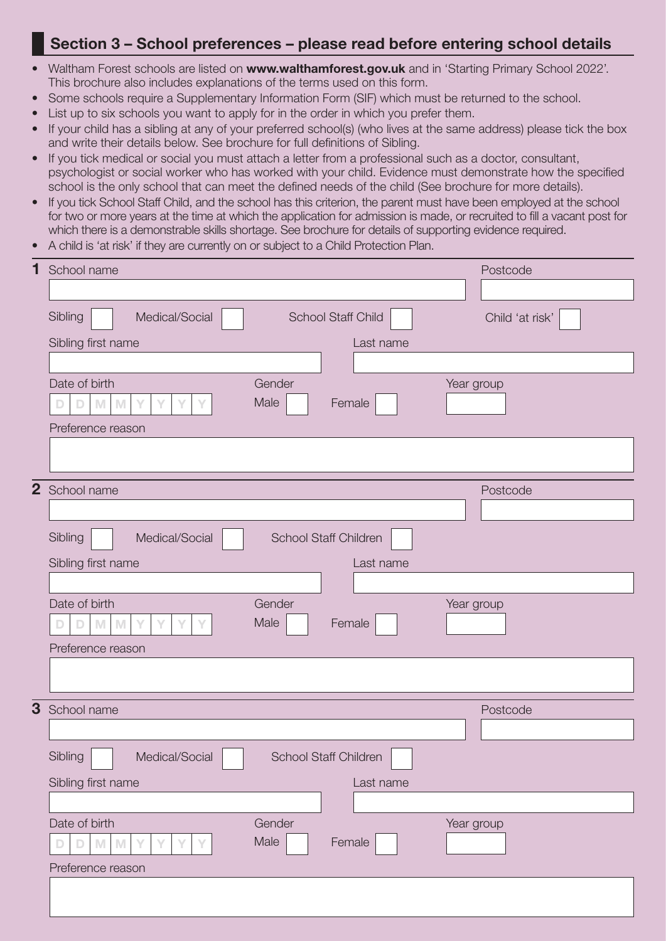#### Section 3 – School preferences – please read before entering school details

- Waltham Forest schools are listed on www.walthamforest.gov.uk and in 'Starting Primary School 2022'. This brochure also includes explanations of the terms used on this form.
- Some schools require a Supplementary Information Form (SIF) which must be returned to the school.
- List up to six schools you want to apply for in the order in which you prefer them.
- If your child has a sibling at any of your preferred school(s) (who lives at the same address) please tick the box and write their details below. See brochure for full definitions of Sibling.
- If you tick medical or social you must attach a letter from a professional such as a doctor, consultant, psychologist or social worker who has worked with your child. Evidence must demonstrate how the specified school is the only school that can meet the defined needs of the child (See brochure for more details).
- If you tick School Staff Child, and the school has this criterion, the parent must have been employed at the school for two or more years at the time at which the application for admission is made, or recruited to fill a vacant post for which there is a demonstrable skills shortage. See brochure for details of supporting evidence required.
- A child is 'at risk' if they are currently on or subject to a Child Protection Plan.

| 1 | School name                                                                                                                                                                                                                                          | Postcode        |
|---|------------------------------------------------------------------------------------------------------------------------------------------------------------------------------------------------------------------------------------------------------|-----------------|
|   |                                                                                                                                                                                                                                                      |                 |
|   | Medical/Social<br>Sibling<br><b>School Staff Child</b>                                                                                                                                                                                               | Child 'at risk' |
|   | Sibling first name<br>Last name                                                                                                                                                                                                                      |                 |
|   |                                                                                                                                                                                                                                                      |                 |
|   | Gender<br>Date of birth                                                                                                                                                                                                                              | Year group      |
|   | Male<br>Female<br>Y<br>v<br>M<br>M                                                                                                                                                                                                                   |                 |
|   | Preference reason                                                                                                                                                                                                                                    |                 |
|   |                                                                                                                                                                                                                                                      |                 |
|   | 2 School name                                                                                                                                                                                                                                        | Postcode        |
|   |                                                                                                                                                                                                                                                      |                 |
|   | Sibling<br>Medical/Social<br>School Staff Children                                                                                                                                                                                                   |                 |
|   | Sibling first name<br>Last name                                                                                                                                                                                                                      |                 |
|   |                                                                                                                                                                                                                                                      |                 |
|   | Date of birth<br>Gender<br>Male<br>Female<br>$\mathsf{M}% _{T}=\mathsf{M}_{T}\!\left( a,b\right) ,\ \mathsf{M}_{T}=\mathsf{M}_{T}\!\left( a,b\right) ,$<br>M<br>Y<br>Y                                                                               | Year group      |
|   |                                                                                                                                                                                                                                                      |                 |
|   | Preference reason                                                                                                                                                                                                                                    |                 |
|   |                                                                                                                                                                                                                                                      |                 |
| 3 | School name                                                                                                                                                                                                                                          | Postcode        |
|   |                                                                                                                                                                                                                                                      |                 |
|   | Sibling<br>Medical/Social<br><b>School Staff Children</b><br>└──                                                                                                                                                                                     |                 |
|   | Sibling first name<br>Last name                                                                                                                                                                                                                      |                 |
|   |                                                                                                                                                                                                                                                      |                 |
|   | Date of birth<br>Gender                                                                                                                                                                                                                              | Year group      |
|   | Male<br>Female<br>$\mathsf{M}% _{T}=\mathsf{M}_{T}\!\left( a,b\right) ,\ \mathsf{M}_{T}=\mathsf{M}_{T}\!\left( a,b\right) ,$<br>$\mathsf{M}% _{T}=\mathsf{M}_{T}\!\left( a,b\right) ,\ \mathsf{M}_{T}=\mathsf{M}_{T}\!\left( a,b\right) ,$<br>Y<br>Υ |                 |
|   | Preference reason                                                                                                                                                                                                                                    |                 |
|   |                                                                                                                                                                                                                                                      |                 |
|   |                                                                                                                                                                                                                                                      |                 |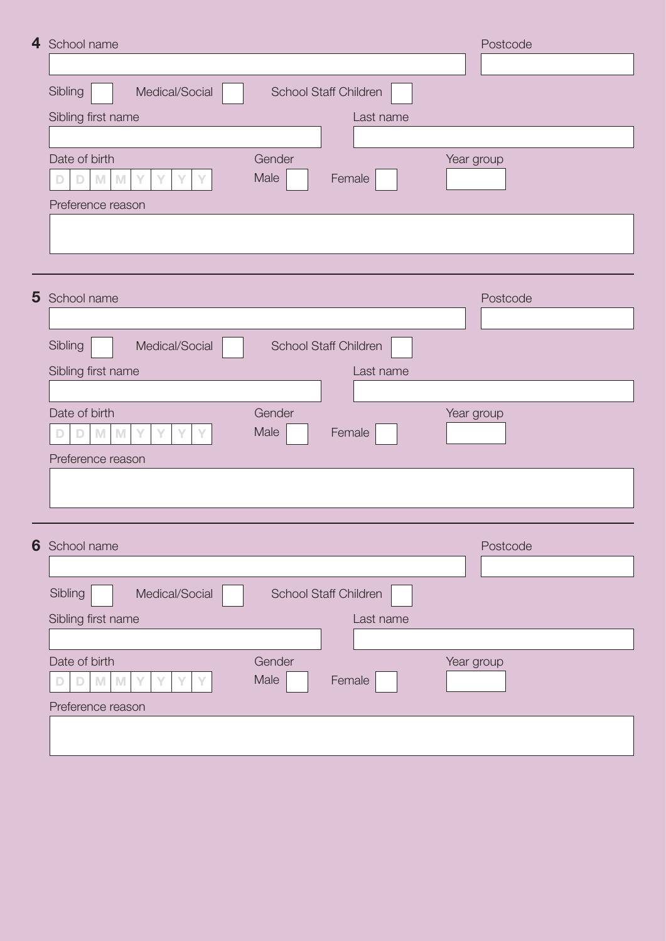| 4 School name                                                                                                                          | Postcode   |
|----------------------------------------------------------------------------------------------------------------------------------------|------------|
|                                                                                                                                        |            |
| Sibling<br>Medical/Social<br><b>School Staff Children</b>                                                                              |            |
| Sibling first name<br>Last name                                                                                                        |            |
|                                                                                                                                        |            |
| Date of birth<br>Gender<br>Male<br>Female<br>M<br>M<br>Υ                                                                               | Year group |
| Preference reason                                                                                                                      |            |
|                                                                                                                                        |            |
|                                                                                                                                        |            |
| 5 School name                                                                                                                          | Postcode   |
| Sibling<br>Medical/Social<br><b>School Staff Children</b>                                                                              |            |
|                                                                                                                                        |            |
| Sibling first name<br>Last name                                                                                                        |            |
| Date of birth<br>Gender                                                                                                                | Year group |
| Male<br>Female<br>$\mathsf{M}% _{T}=\mathsf{M}_{T}\!\left( a,b\right) ,\ \mathsf{M}_{T}=\mathsf{M}_{T}\!\left( a,b\right) ,$<br>M<br>Υ |            |
| Preference reason                                                                                                                      |            |
|                                                                                                                                        |            |
|                                                                                                                                        |            |
| 6 School name                                                                                                                          | Postcode   |
|                                                                                                                                        |            |
| Sibling<br>Medical/Social<br>School Staff Children                                                                                     |            |
| Sibling first name<br>Last name                                                                                                        |            |
|                                                                                                                                        |            |
| Date of birth<br>Gender<br>Male<br>Female                                                                                              | Year group |
| M<br>M<br>Y<br>D                                                                                                                       |            |
| Preference reason                                                                                                                      |            |